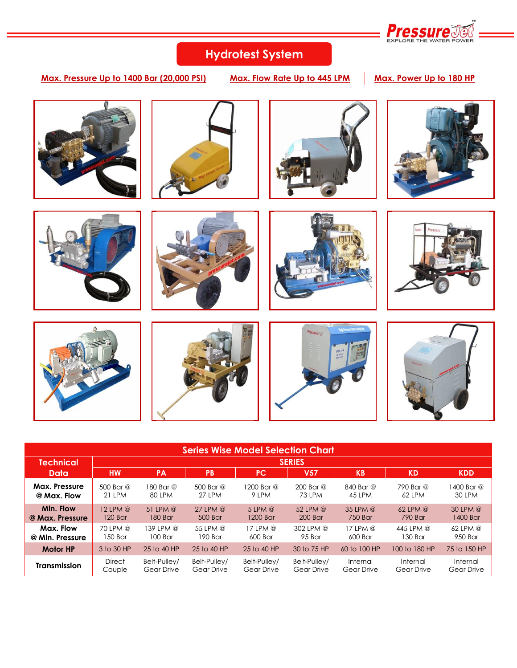

# **Hydrotest System**

**Max. Pressure Up to 1400 Bar (20,000 PSI) Max. Flow Rate Up to 445 LPM Max. Power Up to 180 HP**



| <b>Series Wise Model Selection Chart</b> |               |              |               |              |                 |              |               |              |  |  |  |
|------------------------------------------|---------------|--------------|---------------|--------------|-----------------|--------------|---------------|--------------|--|--|--|
| Technical                                | <b>SERIES</b> |              |               |              |                 |              |               |              |  |  |  |
| Data                                     | <b>HW</b>     | <b>PA</b>    | PB            | <b>PC</b>    | V <sub>57</sub> | <b>KB</b>    | <b>KD</b>     | <b>KDD</b>   |  |  |  |
| Max. Pressure                            | 500 Bar @     | 180 Bar @    | 500 Bar @     | 1200 Bar @   | $200$ Bar $@$   | 840 Bar @    | 790 Bar @     | 1400 Bar @   |  |  |  |
| @ Max. Flow                              | 21 LPM        | 80 LPM       | <b>27 LPM</b> | 9 LPM        | 73 LPM          | 45 LPM       | 62 LPM        | 30 LPM       |  |  |  |
| Min. Flow                                | $12$ LPM $@$  | 51 LPM $@$   | $27$ LPM $@$  | $5$ LPM $@$  | 52 LPM $@$      | $35$ LPM $@$ | $62$ LPM $@$  | $30$ LPM $@$ |  |  |  |
| @ Max. Pressure                          | 120 Bar       | 180 Bar      | 500 Bar       | 1200 Bar     | 200 Bar         | 750 Bar      | 790 Bar       | 1400 Bar     |  |  |  |
| Max. Flow                                | 70 LPM @      | 139 LPM @    | 55 LPM @      | $17$ LPM $@$ | 302 LPM @       | $17$ LPM $@$ | 445 LPM @     | $62$ LPM $@$ |  |  |  |
| @ Min. Pressure                          | 150 Bar       | $100$ Bar    | 190 Bar       | 600 Bar      | 95 Bar          | 600 Bar      | 130 Bar       | 950 Bar      |  |  |  |
| <b>Motor HP</b>                          | 3 to 30 HP    | 25 to 40 HP  | 25 to 40 HP   | 25 to 40 HP  | 30 to 75 HP     | 60 to 100 HP | 100 to 180 HP | 75 to 150 HP |  |  |  |
| <b>Transmission</b>                      | <b>Direct</b> | Belt-Pullev/ | Belt-Pulley/  | Belt-Pulley/ | Belt-Pulley/    | Internal     | Internal      | Internal     |  |  |  |
|                                          | Couple        | Gear Drive   | Gear Drive    | Gear Drive   | Gear Drive      | Gear Drive   | Gear Drive    | Gear Drive   |  |  |  |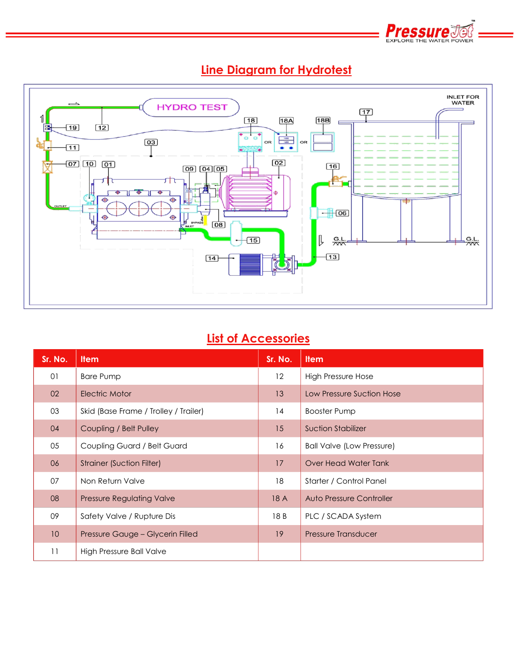



## **Line Diagram for Hydrotest**

## **List of Accessories**

| Sr. No.         | <b>Item</b>                           | Sr. No. | <b>Item</b>                      |
|-----------------|---------------------------------------|---------|----------------------------------|
| 01              | <b>Bare Pump</b>                      | 12      | High Pressure Hose               |
| 02              | Electric Motor                        | 13      | Low Pressure Suction Hose        |
| 03              | Skid (Base Frame / Trolley / Trailer) | 14      | <b>Booster Pump</b>              |
| 04              | Coupling / Belt Pulley                | 15      | <b>Suction Stabilizer</b>        |
| 05              | Coupling Guard / Belt Guard           | 16      | <b>Ball Valve (Low Pressure)</b> |
| 06              | <b>Strainer (Suction Filter)</b>      | 17      | Over Head Water Tank             |
| 07              | Non Return Valve                      | 18      | Starter / Control Panel          |
| 08              | <b>Pressure Regulating Valve</b>      | 18 A    | Auto Pressure Controller         |
| 09              | Safety Valve / Rupture Dis            | 18 B    | PLC / SCADA System               |
| 10 <sup>°</sup> | Pressure Gauge - Glycerin Filled      | 19      | Pressure Transducer              |
| 11              | High Pressure Ball Valve              |         |                                  |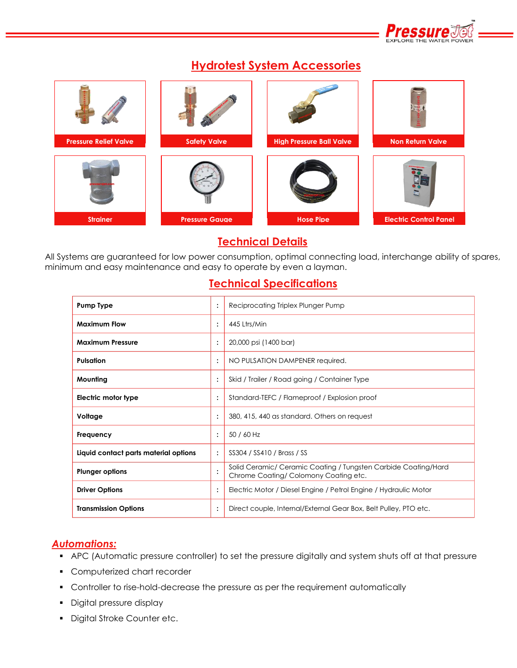

### **Hydrotest System Accessories**



### **Technical Details**

All Systems are guaranteed for low power consumption, optimal connecting load, interchange ability of spares, minimum and easy maintenance and easy to operate by even a layman.

#### **Technical Specifications**

| <b>Pump Type</b>                      | $\ddot{\cdot}$       | Reciprocating Triplex Plunger Pump                                                                     |
|---------------------------------------|----------------------|--------------------------------------------------------------------------------------------------------|
| <b>Maximum Flow</b>                   | $\ddot{\phantom{a}}$ | 445 Ltrs/Min                                                                                           |
| <b>Maximum Pressure</b>               | $\ddot{\cdot}$       | 20,000 psi (1400 bar)                                                                                  |
| <b>Pulsation</b>                      | $\ddot{\cdot}$       | NO PULSATION DAMPENER required.                                                                        |
| Mounting                              | $\ddot{\cdot}$       | Skid / Trailer / Road going / Container Type                                                           |
| Electric motor type                   | $\ddot{\cdot}$       | Standard-TEFC / Flameproof / Explosion proof                                                           |
| Voltage                               | ٠                    | 380, 415, 440 as standard. Others on request                                                           |
| Frequency                             | $\ddot{\cdot}$       | 50 / 60 Hz                                                                                             |
| Liquid contact parts material options | $\ddot{\cdot}$       | SS304 / SS410 / Brass / SS                                                                             |
| <b>Plunger options</b>                | ٠                    | Solid Ceramic/ Ceramic Coating / Tungsten Carbide Coating/Hard<br>Chrome Coating/Colomony Coating etc. |
| <b>Driver Options</b>                 | $\ddot{\cdot}$       | Electric Motor / Diesel Engine / Petrol Engine / Hydraulic Motor                                       |
| <b>Transmission Options</b>           |                      | Direct couple, Internal/External Gear Box, Belt Pulley, PTO etc.                                       |

#### *Automations:*

- APC (Automatic pressure controller) to set the pressure digitally and system shuts off at that pressure
- **Computerized chart recorder**
- Controller to rise-hold-decrease the pressure as per the requirement automatically
- **•** Digital pressure display
- **Digital Stroke Counter etc.**